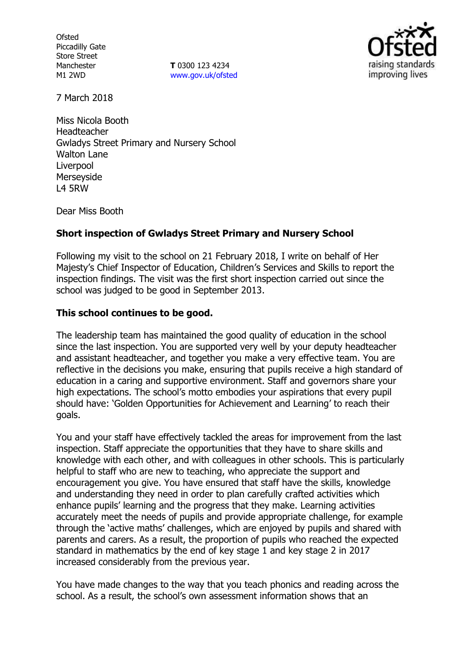**Ofsted** Piccadilly Gate Store Street Manchester M1 2WD

**T** 0300 123 4234 www.gov.uk/ofsted



7 March 2018

Miss Nicola Booth Headteacher Gwladys Street Primary and Nursery School Walton Lane Liverpool Merseyside L4 5RW

Dear Miss Booth

## **Short inspection of Gwladys Street Primary and Nursery School**

Following my visit to the school on 21 February 2018, I write on behalf of Her Majesty's Chief Inspector of Education, Children's Services and Skills to report the inspection findings. The visit was the first short inspection carried out since the school was judged to be good in September 2013.

### **This school continues to be good.**

The leadership team has maintained the good quality of education in the school since the last inspection. You are supported very well by your deputy headteacher and assistant headteacher, and together you make a very effective team. You are reflective in the decisions you make, ensuring that pupils receive a high standard of education in a caring and supportive environment. Staff and governors share your high expectations. The school's motto embodies your aspirations that every pupil should have: 'Golden Opportunities for Achievement and Learning' to reach their goals.

You and your staff have effectively tackled the areas for improvement from the last inspection. Staff appreciate the opportunities that they have to share skills and knowledge with each other, and with colleagues in other schools. This is particularly helpful to staff who are new to teaching, who appreciate the support and encouragement you give. You have ensured that staff have the skills, knowledge and understanding they need in order to plan carefully crafted activities which enhance pupils' learning and the progress that they make. Learning activities accurately meet the needs of pupils and provide appropriate challenge, for example through the 'active maths' challenges, which are enjoyed by pupils and shared with parents and carers. As a result, the proportion of pupils who reached the expected standard in mathematics by the end of key stage 1 and key stage 2 in 2017 increased considerably from the previous year.

You have made changes to the way that you teach phonics and reading across the school. As a result, the school's own assessment information shows that an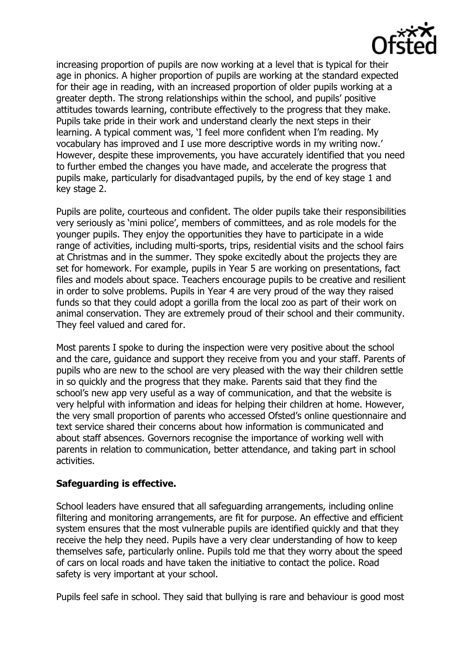

increasing proportion of pupils are now working at a level that is typical for their age in phonics. A higher proportion of pupils are working at the standard expected for their age in reading, with an increased proportion of older pupils working at a greater depth. The strong relationships within the school, and pupils' positive attitudes towards learning, contribute effectively to the progress that they make. Pupils take pride in their work and understand clearly the next steps in their learning. A typical comment was, 'I feel more confident when I'm reading. My vocabulary has improved and I use more descriptive words in my writing now.' However, despite these improvements, you have accurately identified that you need to further embed the changes you have made, and accelerate the progress that pupils make, particularly for disadvantaged pupils, by the end of key stage 1 and key stage 2.

Pupils are polite, courteous and confident. The older pupils take their responsibilities very seriously as 'mini police', members of committees, and as role models for the younger pupils. They enjoy the opportunities they have to participate in a wide range of activities, including multi-sports, trips, residential visits and the school fairs at Christmas and in the summer. They spoke excitedly about the projects they are set for homework. For example, pupils in Year 5 are working on presentations, fact files and models about space. Teachers encourage pupils to be creative and resilient in order to solve problems. Pupils in Year 4 are very proud of the way they raised funds so that they could adopt a gorilla from the local zoo as part of their work on animal conservation. They are extremely proud of their school and their community. They feel valued and cared for.

Most parents I spoke to during the inspection were very positive about the school and the care, guidance and support they receive from you and your staff. Parents of pupils who are new to the school are very pleased with the way their children settle in so quickly and the progress that they make. Parents said that they find the school's new app very useful as a way of communication, and that the website is very helpful with information and ideas for helping their children at home. However, the very small proportion of parents who accessed Ofsted's online questionnaire and text service shared their concerns about how information is communicated and about staff absences. Governors recognise the importance of working well with parents in relation to communication, better attendance, and taking part in school activities.

## **Safeguarding is effective.**

School leaders have ensured that all safeguarding arrangements, including online filtering and monitoring arrangements, are fit for purpose. An effective and efficient system ensures that the most vulnerable pupils are identified quickly and that they receive the help they need. Pupils have a very clear understanding of how to keep themselves safe, particularly online. Pupils told me that they worry about the speed of cars on local roads and have taken the initiative to contact the police. Road safety is very important at your school.

Pupils feel safe in school. They said that bullying is rare and behaviour is good most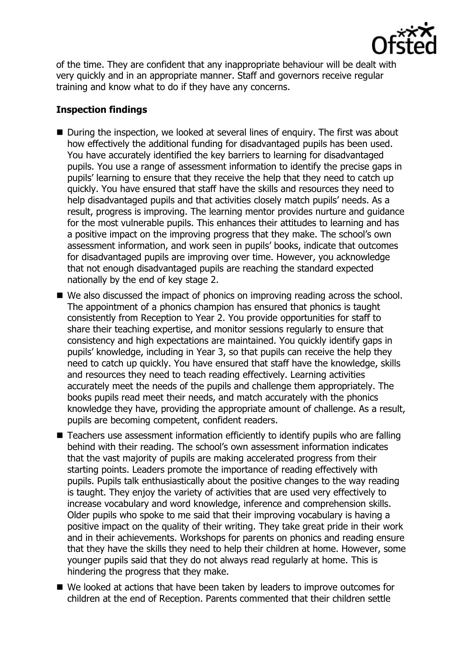

of the time. They are confident that any inappropriate behaviour will be dealt with very quickly and in an appropriate manner. Staff and governors receive regular training and know what to do if they have any concerns.

# **Inspection findings**

- During the inspection, we looked at several lines of enquiry. The first was about how effectively the additional funding for disadvantaged pupils has been used. You have accurately identified the key barriers to learning for disadvantaged pupils. You use a range of assessment information to identify the precise gaps in pupils' learning to ensure that they receive the help that they need to catch up quickly. You have ensured that staff have the skills and resources they need to help disadvantaged pupils and that activities closely match pupils' needs. As a result, progress is improving. The learning mentor provides nurture and guidance for the most vulnerable pupils. This enhances their attitudes to learning and has a positive impact on the improving progress that they make. The school's own assessment information, and work seen in pupils' books, indicate that outcomes for disadvantaged pupils are improving over time. However, you acknowledge that not enough disadvantaged pupils are reaching the standard expected nationally by the end of key stage 2.
- We also discussed the impact of phonics on improving reading across the school. The appointment of a phonics champion has ensured that phonics is taught consistently from Reception to Year 2. You provide opportunities for staff to share their teaching expertise, and monitor sessions regularly to ensure that consistency and high expectations are maintained. You quickly identify gaps in pupils' knowledge, including in Year 3, so that pupils can receive the help they need to catch up quickly. You have ensured that staff have the knowledge, skills and resources they need to teach reading effectively. Learning activities accurately meet the needs of the pupils and challenge them appropriately. The books pupils read meet their needs, and match accurately with the phonics knowledge they have, providing the appropriate amount of challenge. As a result, pupils are becoming competent, confident readers.
- Teachers use assessment information efficiently to identify pupils who are falling behind with their reading. The school's own assessment information indicates that the vast majority of pupils are making accelerated progress from their starting points. Leaders promote the importance of reading effectively with pupils. Pupils talk enthusiastically about the positive changes to the way reading is taught. They enjoy the variety of activities that are used very effectively to increase vocabulary and word knowledge, inference and comprehension skills. Older pupils who spoke to me said that their improving vocabulary is having a positive impact on the quality of their writing. They take great pride in their work and in their achievements. Workshops for parents on phonics and reading ensure that they have the skills they need to help their children at home. However, some younger pupils said that they do not always read regularly at home. This is hindering the progress that they make.
- We looked at actions that have been taken by leaders to improve outcomes for children at the end of Reception. Parents commented that their children settle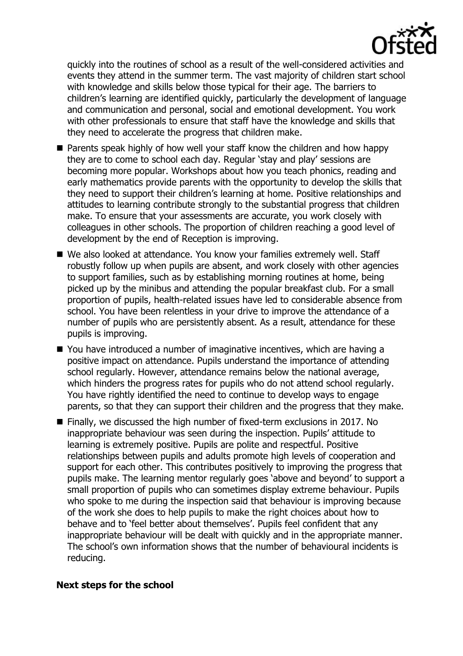

quickly into the routines of school as a result of the well-considered activities and events they attend in the summer term. The vast majority of children start school with knowledge and skills below those typical for their age. The barriers to children's learning are identified quickly, particularly the development of language and communication and personal, social and emotional development. You work with other professionals to ensure that staff have the knowledge and skills that they need to accelerate the progress that children make.

- **Parents speak highly of how well your staff know the children and how happy** they are to come to school each day. Regular 'stay and play' sessions are becoming more popular. Workshops about how you teach phonics, reading and early mathematics provide parents with the opportunity to develop the skills that they need to support their children's learning at home. Positive relationships and attitudes to learning contribute strongly to the substantial progress that children make. To ensure that your assessments are accurate, you work closely with colleagues in other schools. The proportion of children reaching a good level of development by the end of Reception is improving.
- We also looked at attendance. You know your families extremely well. Staff robustly follow up when pupils are absent, and work closely with other agencies to support families, such as by establishing morning routines at home, being picked up by the minibus and attending the popular breakfast club. For a small proportion of pupils, health-related issues have led to considerable absence from school. You have been relentless in your drive to improve the attendance of a number of pupils who are persistently absent. As a result, attendance for these pupils is improving.
- You have introduced a number of imaginative incentives, which are having a positive impact on attendance. Pupils understand the importance of attending school regularly. However, attendance remains below the national average, which hinders the progress rates for pupils who do not attend school regularly. You have rightly identified the need to continue to develop ways to engage parents, so that they can support their children and the progress that they make.
- Finally, we discussed the high number of fixed-term exclusions in 2017. No inappropriate behaviour was seen during the inspection. Pupils' attitude to learning is extremely positive. Pupils are polite and respectful. Positive relationships between pupils and adults promote high levels of cooperation and support for each other. This contributes positively to improving the progress that pupils make. The learning mentor regularly goes 'above and beyond' to support a small proportion of pupils who can sometimes display extreme behaviour. Pupils who spoke to me during the inspection said that behaviour is improving because of the work she does to help pupils to make the right choices about how to behave and to 'feel better about themselves'. Pupils feel confident that any inappropriate behaviour will be dealt with quickly and in the appropriate manner. The school's own information shows that the number of behavioural incidents is reducing.

#### **Next steps for the school**